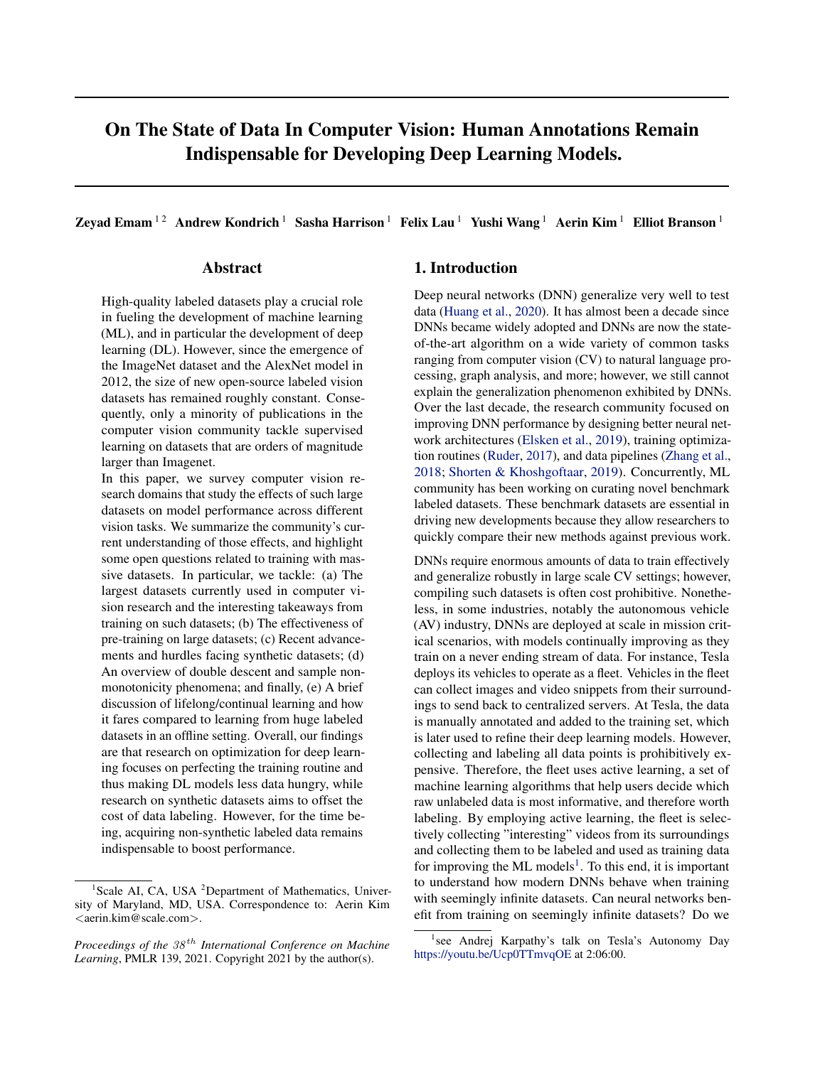Zevad Emam<sup>12</sup> Andrew Kondrich<sup>1</sup> Sasha Harrison<sup>1</sup> Felix Lau<sup>1</sup> Yushi Wang<sup>1</sup> Aerin Kim<sup>1</sup> Elliot Branson<sup>1</sup>

# Abstract

High-quality labeled datasets play a crucial role in fueling the development of machine learning (ML), and in particular the development of deep learning (DL). However, since the emergence of the ImageNet dataset and the AlexNet model in 2012, the size of new open-source labeled vision datasets has remained roughly constant. Consequently, only a minority of publications in the computer vision community tackle supervised learning on datasets that are orders of magnitude larger than Imagenet.

In this paper, we survey computer vision research domains that study the effects of such large datasets on model performance across different vision tasks. We summarize the community's current understanding of those effects, and highlight some open questions related to training with massive datasets. In particular, we tackle: (a) The largest datasets currently used in computer vision research and the interesting takeaways from training on such datasets; (b) The effectiveness of pre-training on large datasets; (c) Recent advancements and hurdles facing synthetic datasets; (d) An overview of double descent and sample nonmonotonicity phenomena; and finally, (e) A brief discussion of lifelong/continual learning and how it fares compared to learning from huge labeled datasets in an offline setting. Overall, our findings are that research on optimization for deep learning focuses on perfecting the training routine and thus making DL models less data hungry, while research on synthetic datasets aims to offset the cost of data labeling. However, for the time being, acquiring non-synthetic labeled data remains indispensable to boost performance.

# 1. Introduction

Deep neural networks (DNN) generalize very well to test data [\(Huang et al.,](#page-9-0) [2020\)](#page-9-0). It has almost been a decade since DNNs became widely adopted and DNNs are now the stateof-the-art algorithm on a wide variety of common tasks ranging from computer vision (CV) to natural language processing, graph analysis, and more; however, we still cannot explain the generalization phenomenon exhibited by DNNs. Over the last decade, the research community focused on improving DNN performance by designing better neural network architectures [\(Elsken et al.,](#page-8-0) [2019\)](#page-8-0), training optimization routines [\(Ruder,](#page-11-0) [2017\)](#page-11-0), and data pipelines [\(Zhang et al.,](#page-11-0) [2018;](#page-11-0) [Shorten & Khoshgoftaar,](#page-11-0) [2019\)](#page-11-0). Concurrently, ML community has been working on curating novel benchmark labeled datasets. These benchmark datasets are essential in driving new developments because they allow researchers to quickly compare their new methods against previous work.

DNNs require enormous amounts of data to train effectively and generalize robustly in large scale CV settings; however, compiling such datasets is often cost prohibitive. Nonetheless, in some industries, notably the autonomous vehicle (AV) industry, DNNs are deployed at scale in mission critical scenarios, with models continually improving as they train on a never ending stream of data. For instance, Tesla deploys its vehicles to operate as a fleet. Vehicles in the fleet can collect images and video snippets from their surroundings to send back to centralized servers. At Tesla, the data is manually annotated and added to the training set, which is later used to refine their deep learning models. However, collecting and labeling all data points is prohibitively expensive. Therefore, the fleet uses active learning, a set of machine learning algorithms that help users decide which raw unlabeled data is most informative, and therefore worth labeling. By employing active learning, the fleet is selectively collecting "interesting" videos from its surroundings and collecting them to be labeled and used as training data for improving the ML models<sup>1</sup>. To this end, it is important to understand how modern DNNs behave when training with seemingly infinite datasets. Can neural networks benefit from training on seemingly infinite datasets? Do we

<sup>&</sup>lt;sup>1</sup>Scale AI, CA, USA <sup>2</sup>Department of Mathematics, University of Maryland, MD, USA. Correspondence to: Aerin Kim  $\langle$ aerin.kim@scale.com $\rangle$ .

*Proceedings of the*  $38<sup>th</sup>$  *International Conference on Machine Learning*, PMLR 139, 2021. Copyright 2021 by the author(s).

<sup>&</sup>lt;sup>1</sup>see Andrej Karpathy's talk on Tesla's Autonomy Day <https://youtu.be/Ucp0TTmvqOE> at 2:06:00.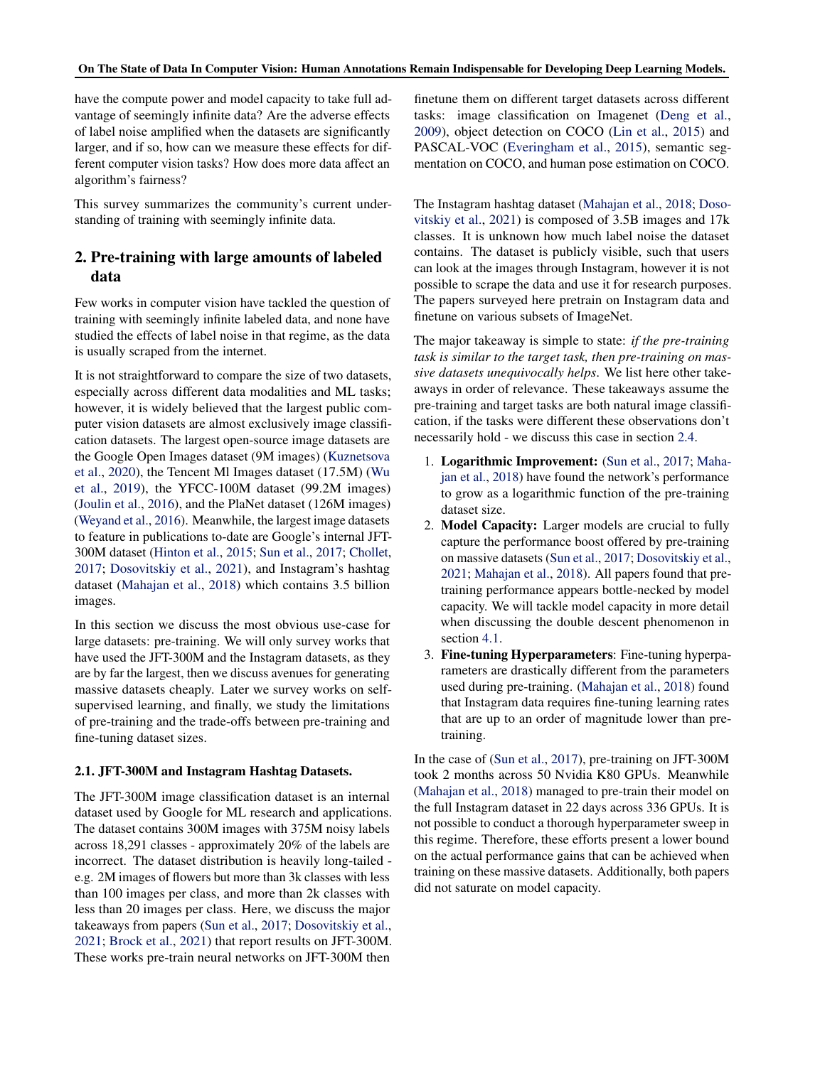<span id="page-1-0"></span>have the compute power and model capacity to take full advantage of seemingly infinite data? Are the adverse effects of label noise amplified when the datasets are significantly larger, and if so, how can we measure these effects for different computer vision tasks? How does more data affect an algorithm's fairness?

This survey summarizes the community's current understanding of training with seemingly infinite data.

# 2. Pre-training with large amounts of labeled data

Few works in computer vision have tackled the question of training with seemingly infinite labeled data, and none have studied the effects of label noise in that regime, as the data is usually scraped from the internet.

It is not straightforward to compare the size of two datasets, especially across different data modalities and ML tasks; however, it is widely believed that the largest public computer vision datasets are almost exclusively image classification datasets. The largest open-source image datasets are the Google Open Images dataset (9M images) [\(Kuznetsova](#page-9-0) [et al.,](#page-9-0) [2020\)](#page-9-0), the Tencent Ml Images dataset (17.5M) [\(Wu](#page-11-0) [et al.,](#page-11-0) [2019\)](#page-11-0), the YFCC-100M dataset (99.2M images) [\(Joulin et al.,](#page-9-0) [2016\)](#page-9-0), and the PlaNet dataset (126M images) [\(Weyand et al.,](#page-11-0) [2016\)](#page-11-0). Meanwhile, the largest image datasets to feature in publications to-date are Google's internal JFT-300M dataset [\(Hinton et al.,](#page-9-0) [2015;](#page-9-0) [Sun et al.,](#page-11-0) [2017;](#page-11-0) [Chollet,](#page-8-0) [2017;](#page-8-0) [Dosovitskiy et al.,](#page-8-0) [2021\)](#page-8-0), and Instagram's hashtag dataset [\(Mahajan et al.,](#page-10-0) [2018\)](#page-10-0) which contains 3.5 billion images.

In this section we discuss the most obvious use-case for large datasets: pre-training. We will only survey works that have used the JFT-300M and the Instagram datasets, as they are by far the largest, then we discuss avenues for generating massive datasets cheaply. Later we survey works on selfsupervised learning, and finally, we study the limitations of pre-training and the trade-offs between pre-training and fine-tuning dataset sizes.

### 2.1. JFT-300M and Instagram Hashtag Datasets.

The JFT-300M image classification dataset is an internal dataset used by Google for ML research and applications. The dataset contains 300M images with 375M noisy labels across 18,291 classes - approximately 20% of the labels are incorrect. The dataset distribution is heavily long-tailed e.g. 2M images of flowers but more than 3k classes with less than 100 images per class, and more than 2k classes with less than 20 images per class. Here, we discuss the major takeaways from papers [\(Sun et al.,](#page-11-0) [2017;](#page-11-0) [Dosovitskiy et al.,](#page-8-0) [2021;](#page-8-0) [Brock et al.,](#page-7-0) [2021\)](#page-7-0) that report results on JFT-300M. These works pre-train neural networks on JFT-300M then

finetune them on different target datasets across different tasks: image classification on Imagenet [\(Deng et al.,](#page-8-0) [2009\)](#page-8-0), object detection on COCO [\(Lin et al.,](#page-10-0) [2015\)](#page-10-0) and PASCAL-VOC [\(Everingham et al.,](#page-8-0) [2015\)](#page-8-0), semantic segmentation on COCO, and human pose estimation on COCO.

The Instagram hashtag dataset [\(Mahajan et al.,](#page-10-0) [2018;](#page-10-0) [Doso](#page-8-0)[vitskiy et al.,](#page-8-0) [2021\)](#page-8-0) is composed of 3.5B images and 17k classes. It is unknown how much label noise the dataset contains. The dataset is publicly visible, such that users can look at the images through Instagram, however it is not possible to scrape the data and use it for research purposes. The papers surveyed here pretrain on Instagram data and finetune on various subsets of ImageNet.

The major takeaway is simple to state: *if the pre-training task is similar to the target task, then pre-training on massive datasets unequivocally helps*. We list here other takeaways in order of relevance. These takeaways assume the pre-training and target tasks are both natural image classification, if the tasks were different these observations don't necessarily hold - we discuss this case in section [2.4.](#page-3-0)

- 1. Logarithmic Improvement: [\(Sun et al.,](#page-11-0) [2017;](#page-11-0) [Maha](#page-10-0)[jan et al.,](#page-10-0) [2018\)](#page-10-0) have found the network's performance to grow as a logarithmic function of the pre-training dataset size.
- 2. Model Capacity: Larger models are crucial to fully capture the performance boost offered by pre-training on massive datasets [\(Sun et al.,](#page-11-0) [2017;](#page-11-0) [Dosovitskiy et al.,](#page-8-0) [2021;](#page-8-0) [Mahajan et al.,](#page-10-0) [2018\)](#page-10-0). All papers found that pretraining performance appears bottle-necked by model capacity. We will tackle model capacity in more detail when discussing the double descent phenomenon in section [4.1.](#page-5-0)
- 3. Fine-tuning Hyperparameters: Fine-tuning hyperparameters are drastically different from the parameters used during pre-training. [\(Mahajan et al.,](#page-10-0) [2018\)](#page-10-0) found that Instagram data requires fine-tuning learning rates that are up to an order of magnitude lower than pretraining.

In the case of [\(Sun et al.,](#page-11-0) [2017\)](#page-11-0), pre-training on JFT-300M took 2 months across 50 Nvidia K80 GPUs. Meanwhile [\(Mahajan et al.,](#page-10-0) [2018\)](#page-10-0) managed to pre-train their model on the full Instagram dataset in 22 days across 336 GPUs. It is not possible to conduct a thorough hyperparameter sweep in this regime. Therefore, these efforts present a lower bound on the actual performance gains that can be achieved when training on these massive datasets. Additionally, both papers did not saturate on model capacity.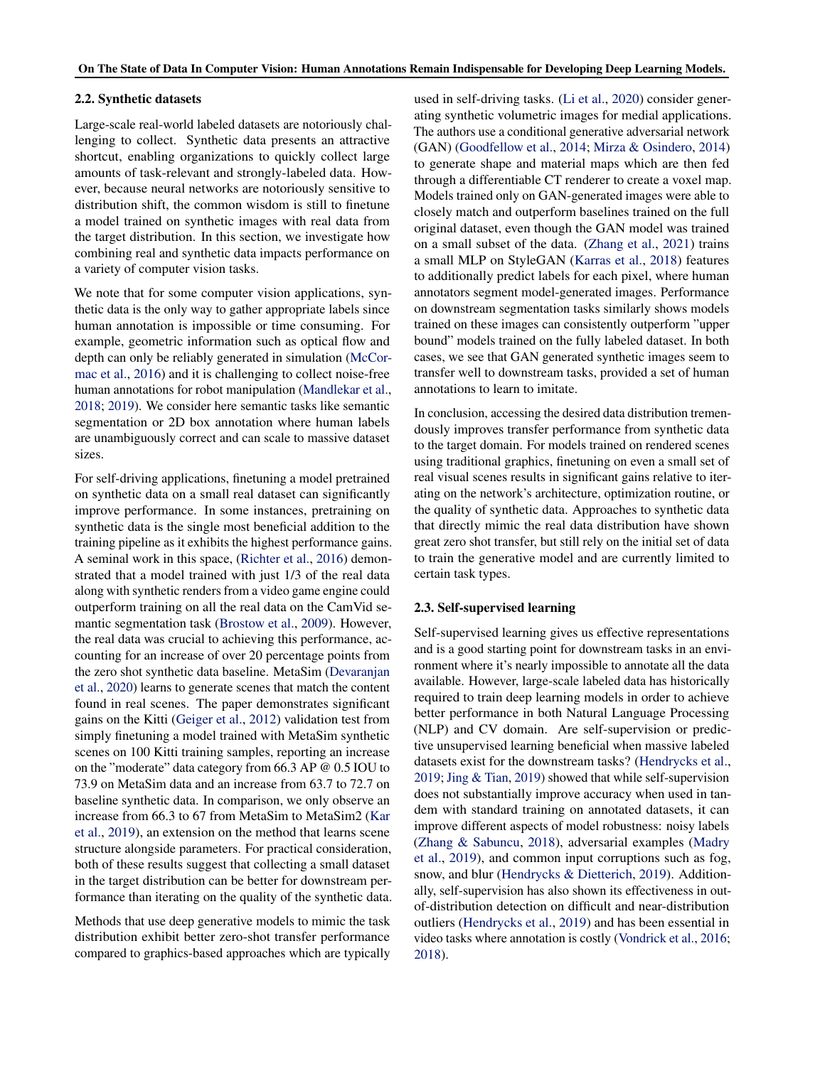#### 2.2. Synthetic datasets

Large-scale real-world labeled datasets are notoriously challenging to collect. Synthetic data presents an attractive shortcut, enabling organizations to quickly collect large amounts of task-relevant and strongly-labeled data. However, because neural networks are notoriously sensitive to distribution shift, the common wisdom is still to finetune a model trained on synthetic images with real data from the target distribution. In this section, we investigate how combining real and synthetic data impacts performance on a variety of computer vision tasks.

We note that for some computer vision applications, synthetic data is the only way to gather appropriate labels since human annotation is impossible or time consuming. For example, geometric information such as optical flow and depth can only be reliably generated in simulation [\(McCor](#page-10-0)[mac et al.,](#page-10-0) [2016\)](#page-10-0) and it is challenging to collect noise-free human annotations for robot manipulation [\(Mandlekar et al.,](#page-10-0) [2018;](#page-10-0) [2019\)](#page-10-0). We consider here semantic tasks like semantic segmentation or 2D box annotation where human labels are unambiguously correct and can scale to massive dataset sizes.

For self-driving applications, finetuning a model pretrained on synthetic data on a small real dataset can significantly improve performance. In some instances, pretraining on synthetic data is the single most beneficial addition to the training pipeline as it exhibits the highest performance gains. A seminal work in this space, [\(Richter et al.,](#page-10-0) [2016\)](#page-10-0) demonstrated that a model trained with just 1/3 of the real data along with synthetic renders from a video game engine could outperform training on all the real data on the CamVid semantic segmentation task [\(Brostow et al.,](#page-7-0) [2009\)](#page-7-0). However, the real data was crucial to achieving this performance, accounting for an increase of over 20 percentage points from the zero shot synthetic data baseline. MetaSim [\(Devaranjan](#page-8-0) [et al.,](#page-8-0) [2020\)](#page-8-0) learns to generate scenes that match the content found in real scenes. The paper demonstrates significant gains on the Kitti [\(Geiger et al.,](#page-8-0) [2012\)](#page-8-0) validation test from simply finetuning a model trained with MetaSim synthetic scenes on 100 Kitti training samples, reporting an increase on the "moderate" data category from 66.3 AP @ 0.5 IOU to 73.9 on MetaSim data and an increase from 63.7 to 72.7 on baseline synthetic data. In comparison, we only observe an increase from 66.3 to 67 from MetaSim to MetaSim2 [\(Kar](#page-9-0) [et al.,](#page-9-0) [2019\)](#page-9-0), an extension on the method that learns scene structure alongside parameters. For practical consideration, both of these results suggest that collecting a small dataset in the target distribution can be better for downstream performance than iterating on the quality of the synthetic data.

Methods that use deep generative models to mimic the task distribution exhibit better zero-shot transfer performance compared to graphics-based approaches which are typically used in self-driving tasks. [\(Li et al.,](#page-10-0) [2020\)](#page-10-0) consider generating synthetic volumetric images for medial applications. The authors use a conditional generative adversarial network (GAN) [\(Goodfellow et al.,](#page-8-0) [2014;](#page-8-0) [Mirza & Osindero,](#page-10-0) [2014\)](#page-10-0) to generate shape and material maps which are then fed through a differentiable CT renderer to create a voxel map. Models trained only on GAN-generated images were able to closely match and outperform baselines trained on the full original dataset, even though the GAN model was trained on a small subset of the data. [\(Zhang et al.,](#page-11-0) [2021\)](#page-11-0) trains a small MLP on StyleGAN [\(Karras et al.,](#page-9-0) [2018\)](#page-9-0) features to additionally predict labels for each pixel, where human annotators segment model-generated images. Performance on downstream segmentation tasks similarly shows models trained on these images can consistently outperform "upper bound" models trained on the fully labeled dataset. In both cases, we see that GAN generated synthetic images seem to transfer well to downstream tasks, provided a set of human annotations to learn to imitate.

In conclusion, accessing the desired data distribution tremendously improves transfer performance from synthetic data to the target domain. For models trained on rendered scenes using traditional graphics, finetuning on even a small set of real visual scenes results in significant gains relative to iterating on the network's architecture, optimization routine, or the quality of synthetic data. Approaches to synthetic data that directly mimic the real data distribution have shown great zero shot transfer, but still rely on the initial set of data to train the generative model and are currently limited to certain task types.

### 2.3. Self-supervised learning

Self-supervised learning gives us effective representations and is a good starting point for downstream tasks in an environment where it's nearly impossible to annotate all the data available. However, large-scale labeled data has historically required to train deep learning models in order to achieve better performance in both Natural Language Processing (NLP) and CV domain. Are self-supervision or predictive unsupervised learning beneficial when massive labeled datasets exist for the downstream tasks? [\(Hendrycks et al.,](#page-9-0) [2019;](#page-9-0) [Jing & Tian,](#page-9-0) [2019\)](#page-9-0) showed that while self-supervision does not substantially improve accuracy when used in tandem with standard training on annotated datasets, it can improve different aspects of model robustness: noisy labels [\(Zhang & Sabuncu,](#page-11-0) [2018\)](#page-11-0), adversarial examples [\(Madry](#page-10-0) [et al.,](#page-10-0) [2019\)](#page-10-0), and common input corruptions such as fog, snow, and blur [\(Hendrycks & Dietterich,](#page-9-0) [2019\)](#page-9-0). Additionally, self-supervision has also shown its effectiveness in outof-distribution detection on difficult and near-distribution outliers [\(Hendrycks et al.,](#page-9-0) [2019\)](#page-9-0) and has been essential in video tasks where annotation is costly [\(Vondrick et al.,](#page-11-0) [2016;](#page-11-0) [2018\)](#page-11-0).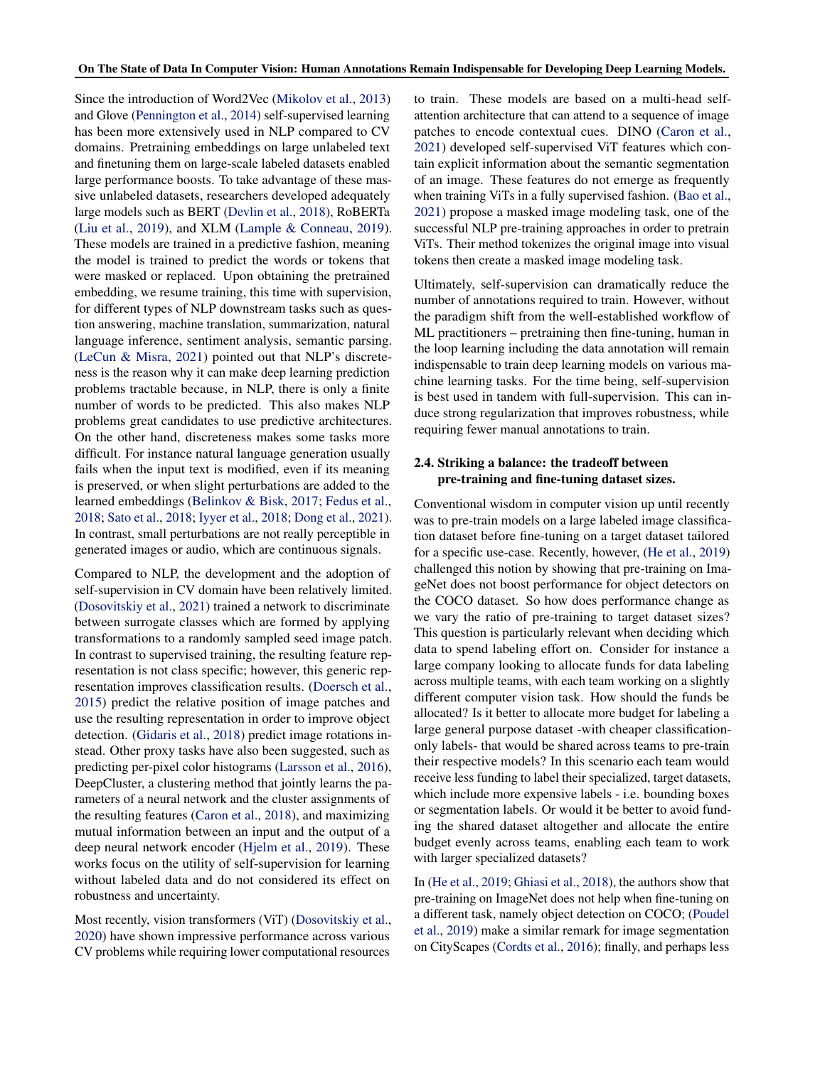<span id="page-3-0"></span>Since the introduction of Word2Vec [\(Mikolov et al.,](#page-10-0) [2013\)](#page-10-0) and Glove [\(Pennington et al.,](#page-10-0) [2014\)](#page-10-0) self-supervised learning has been more extensively used in NLP compared to CV domains. Pretraining embeddings on large unlabeled text and finetuning them on large-scale labeled datasets enabled large performance boosts. To take advantage of these massive unlabeled datasets, researchers developed adequately large models such as BERT [\(Devlin et al.,](#page-8-0) [2018\)](#page-8-0), RoBERTa [\(Liu et al.,](#page-10-0) [2019\)](#page-10-0), and XLM [\(Lample & Conneau,](#page-10-0) [2019\)](#page-10-0). These models are trained in a predictive fashion, meaning the model is trained to predict the words or tokens that were masked or replaced. Upon obtaining the pretrained embedding, we resume training, this time with supervision, for different types of NLP downstream tasks such as question answering, machine translation, summarization, natural language inference, sentiment analysis, semantic parsing. [\(LeCun & Misra,](#page-10-0) [2021\)](#page-10-0) pointed out that NLP's discreteness is the reason why it can make deep learning prediction problems tractable because, in NLP, there is only a finite number of words to be predicted. This also makes NLP problems great candidates to use predictive architectures. On the other hand, discreteness makes some tasks more difficult. For instance natural language generation usually fails when the input text is modified, even if its meaning is preserved, or when slight perturbations are added to the learned embeddings [\(Belinkov & Bisk,](#page-7-0) [2017;](#page-7-0) [Fedus et al.,](#page-8-0) [2018;](#page-8-0) [Sato et al.,](#page-11-0) [2018;](#page-11-0) [Iyyer et al.,](#page-9-0) [2018;](#page-9-0) [Dong et al.,](#page-8-0) [2021\)](#page-8-0). In contrast, small perturbations are not really perceptible in generated images or audio, which are continuous signals.

Compared to NLP, the development and the adoption of self-supervision in CV domain have been relatively limited. [\(Dosovitskiy et al.,](#page-8-0) [2021\)](#page-8-0) trained a network to discriminate between surrogate classes which are formed by applying transformations to a randomly sampled seed image patch. In contrast to supervised training, the resulting feature representation is not class specific; however, this generic representation improves classification results. [\(Doersch et al.,](#page-8-0) [2015\)](#page-8-0) predict the relative position of image patches and use the resulting representation in order to improve object detection. [\(Gidaris et al.,](#page-8-0) [2018\)](#page-8-0) predict image rotations instead. Other proxy tasks have also been suggested, such as predicting per-pixel color histograms [\(Larsson et al.,](#page-10-0) [2016\)](#page-10-0), DeepCluster, a clustering method that jointly learns the parameters of a neural network and the cluster assignments of the resulting features [\(Caron et al.,](#page-7-0) [2018\)](#page-7-0), and maximizing mutual information between an input and the output of a deep neural network encoder [\(Hjelm et al.,](#page-9-0) [2019\)](#page-9-0). These works focus on the utility of self-supervision for learning without labeled data and do not considered its effect on robustness and uncertainty.

Most recently, vision transformers (ViT) [\(Dosovitskiy et al.,](#page-8-0) [2020\)](#page-8-0) have shown impressive performance across various CV problems while requiring lower computational resources

to train. These models are based on a multi-head selfattention architecture that can attend to a sequence of image patches to encode contextual cues. DINO [\(Caron et al.,](#page-7-0) [2021\)](#page-7-0) developed self-supervised ViT features which contain explicit information about the semantic segmentation of an image. These features do not emerge as frequently when training ViTs in a fully supervised fashion. [\(Bao et al.,](#page-7-0) [2021\)](#page-7-0) propose a masked image modeling task, one of the successful NLP pre-training approaches in order to pretrain ViTs. Their method tokenizes the original image into visual tokens then create a masked image modeling task.

Ultimately, self-supervision can dramatically reduce the number of annotations required to train. However, without the paradigm shift from the well-established workflow of ML practitioners – pretraining then fine-tuning, human in the loop learning including the data annotation will remain indispensable to train deep learning models on various machine learning tasks. For the time being, self-supervision is best used in tandem with full-supervision. This can induce strong regularization that improves robustness, while requiring fewer manual annotations to train.

#### 2.4. Striking a balance: the tradeoff between pre-training and fine-tuning dataset sizes.

Conventional wisdom in computer vision up until recently was to pre-train models on a large labeled image classification dataset before fine-tuning on a target dataset tailored for a specific use-case. Recently, however, [\(He et al.,](#page-9-0) [2019\)](#page-9-0) challenged this notion by showing that pre-training on ImageNet does not boost performance for object detectors on the COCO dataset. So how does performance change as we vary the ratio of pre-training to target dataset sizes? This question is particularly relevant when deciding which data to spend labeling effort on. Consider for instance a large company looking to allocate funds for data labeling across multiple teams, with each team working on a slightly different computer vision task. How should the funds be allocated? Is it better to allocate more budget for labeling a large general purpose dataset -with cheaper classificationonly labels- that would be shared across teams to pre-train their respective models? In this scenario each team would receive less funding to label their specialized, target datasets, which include more expensive labels - i.e. bounding boxes or segmentation labels. Or would it be better to avoid funding the shared dataset altogether and allocate the entire budget evenly across teams, enabling each team to work with larger specialized datasets?

In [\(He et al.,](#page-9-0) [2019;](#page-9-0) [Ghiasi et al.,](#page-8-0) [2018\)](#page-8-0), the authors show that pre-training on ImageNet does not help when fine-tuning on a different task, namely object detection on COCO; [\(Poudel](#page-10-0) [et al.,](#page-10-0) [2019\)](#page-10-0) make a similar remark for image segmentation on CityScapes [\(Cordts et al.,](#page-8-0) [2016\)](#page-8-0); finally, and perhaps less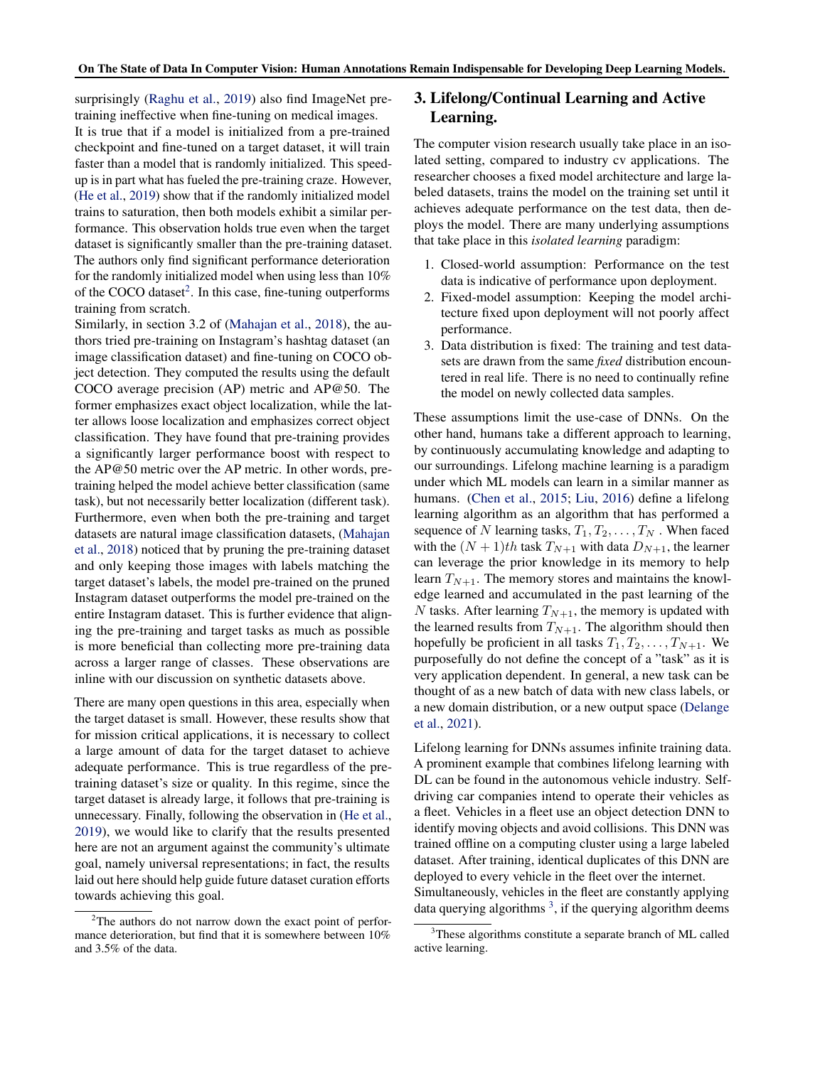surprisingly [\(Raghu et al.,](#page-10-0) [2019\)](#page-10-0) also find ImageNet pretraining ineffective when fine-tuning on medical images. It is true that if a model is initialized from a pre-trained checkpoint and fine-tuned on a target dataset, it will train faster than a model that is randomly initialized. This speedup is in part what has fueled the pre-training craze. However, [\(He et al.,](#page-9-0) [2019\)](#page-9-0) show that if the randomly initialized model trains to saturation, then both models exhibit a similar performance. This observation holds true even when the target dataset is significantly smaller than the pre-training dataset. The authors only find significant performance deterioration for the randomly initialized model when using less than 10% of the COCO dataset $2$ . In this case, fine-tuning outperforms training from scratch.

Similarly, in section 3.2 of [\(Mahajan et al.,](#page-10-0) [2018\)](#page-10-0), the authors tried pre-training on Instagram's hashtag dataset (an image classification dataset) and fine-tuning on COCO object detection. They computed the results using the default COCO average precision (AP) metric and AP@50. The former emphasizes exact object localization, while the latter allows loose localization and emphasizes correct object classification. They have found that pre-training provides a significantly larger performance boost with respect to the AP@50 metric over the AP metric. In other words, pretraining helped the model achieve better classification (same task), but not necessarily better localization (different task). Furthermore, even when both the pre-training and target datasets are natural image classification datasets, [\(Mahajan](#page-10-0) [et al.,](#page-10-0) [2018\)](#page-10-0) noticed that by pruning the pre-training dataset and only keeping those images with labels matching the target dataset's labels, the model pre-trained on the pruned Instagram dataset outperforms the model pre-trained on the entire Instagram dataset. This is further evidence that aligning the pre-training and target tasks as much as possible is more beneficial than collecting more pre-training data across a larger range of classes. These observations are inline with our discussion on synthetic datasets above.

There are many open questions in this area, especially when the target dataset is small. However, these results show that for mission critical applications, it is necessary to collect a large amount of data for the target dataset to achieve adequate performance. This is true regardless of the pretraining dataset's size or quality. In this regime, since the target dataset is already large, it follows that pre-training is unnecessary. Finally, following the observation in [\(He et al.,](#page-9-0) [2019\)](#page-9-0), we would like to clarify that the results presented here are not an argument against the community's ultimate goal, namely universal representations; in fact, the results laid out here should help guide future dataset curation efforts towards achieving this goal.

# 3. Lifelong/Continual Learning and Active Learning.

The computer vision research usually take place in an isolated setting, compared to industry cv applications. The researcher chooses a fixed model architecture and large labeled datasets, trains the model on the training set until it achieves adequate performance on the test data, then deploys the model. There are many underlying assumptions that take place in this *isolated learning* paradigm:

- 1. Closed-world assumption: Performance on the test data is indicative of performance upon deployment.
- 2. Fixed-model assumption: Keeping the model architecture fixed upon deployment will not poorly affect performance.
- 3. Data distribution is fixed: The training and test datasets are drawn from the same *fixed* distribution encountered in real life. There is no need to continually refine the model on newly collected data samples.

These assumptions limit the use-case of DNNs. On the other hand, humans take a different approach to learning, by continuously accumulating knowledge and adapting to our surroundings. Lifelong machine learning is a paradigm under which ML models can learn in a similar manner as humans. [\(Chen et al.,](#page-7-0) [2015;](#page-7-0) [Liu,](#page-10-0) [2016\)](#page-10-0) define a lifelong learning algorithm as an algorithm that has performed a sequence of N learning tasks,  $T_1, T_2, \ldots, T_N$ . When faced with the  $(N + 1)$ th task  $T_{N+1}$  with data  $D_{N+1}$ , the learner can leverage the prior knowledge in its memory to help learn  $T_{N+1}$ . The memory stores and maintains the knowledge learned and accumulated in the past learning of the N tasks. After learning  $T_{N+1}$ , the memory is updated with the learned results from  $T_{N+1}$ . The algorithm should then hopefully be proficient in all tasks  $T_1, T_2, \ldots, T_{N+1}$ . We purposefully do not define the concept of a "task" as it is very application dependent. In general, a new task can be thought of as a new batch of data with new class labels, or a new domain distribution, or a new output space [\(Delange](#page-8-0) [et al.,](#page-8-0) [2021\)](#page-8-0).

Lifelong learning for DNNs assumes infinite training data. A prominent example that combines lifelong learning with DL can be found in the autonomous vehicle industry. Selfdriving car companies intend to operate their vehicles as a fleet. Vehicles in a fleet use an object detection DNN to identify moving objects and avoid collisions. This DNN was trained offline on a computing cluster using a large labeled dataset. After training, identical duplicates of this DNN are deployed to every vehicle in the fleet over the internet. Simultaneously, vehicles in the fleet are constantly applying data querying algorithms  $3$ , if the querying algorithm deems

 $2$ The authors do not narrow down the exact point of performance deterioration, but find that it is somewhere between 10% and 3.5% of the data.

<sup>&</sup>lt;sup>3</sup>These algorithms constitute a separate branch of ML called active learning.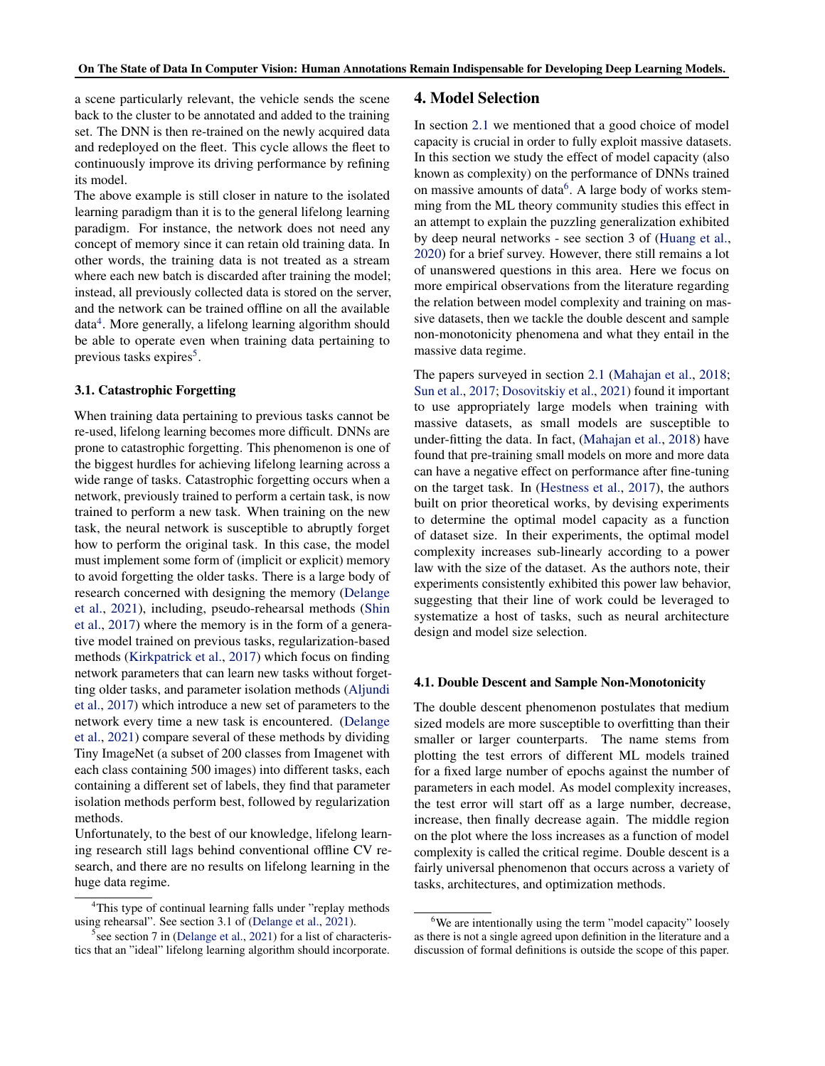<span id="page-5-0"></span>a scene particularly relevant, the vehicle sends the scene back to the cluster to be annotated and added to the training set. The DNN is then re-trained on the newly acquired data and redeployed on the fleet. This cycle allows the fleet to continuously improve its driving performance by refining its model.

The above example is still closer in nature to the isolated learning paradigm than it is to the general lifelong learning paradigm. For instance, the network does not need any concept of memory since it can retain old training data. In other words, the training data is not treated as a stream where each new batch is discarded after training the model; instead, all previously collected data is stored on the server, and the network can be trained offline on all the available data<sup>4</sup>. More generally, a lifelong learning algorithm should be able to operate even when training data pertaining to previous tasks expires<sup>5</sup>.

#### 3.1. Catastrophic Forgetting

When training data pertaining to previous tasks cannot be re-used, lifelong learning becomes more difficult. DNNs are prone to catastrophic forgetting. This phenomenon is one of the biggest hurdles for achieving lifelong learning across a wide range of tasks. Catastrophic forgetting occurs when a network, previously trained to perform a certain task, is now trained to perform a new task. When training on the new task, the neural network is susceptible to abruptly forget how to perform the original task. In this case, the model must implement some form of (implicit or explicit) memory to avoid forgetting the older tasks. There is a large body of research concerned with designing the memory [\(Delange](#page-8-0) [et al.,](#page-8-0) [2021\)](#page-8-0), including, pseudo-rehearsal methods [\(Shin](#page-11-0) [et al.,](#page-11-0) [2017\)](#page-11-0) where the memory is in the form of a generative model trained on previous tasks, regularization-based methods [\(Kirkpatrick et al.,](#page-9-0) [2017\)](#page-9-0) which focus on finding network parameters that can learn new tasks without forgetting older tasks, and parameter isolation methods [\(Aljundi](#page-7-0) [et al.,](#page-7-0) [2017\)](#page-7-0) which introduce a new set of parameters to the network every time a new task is encountered. [\(Delange](#page-8-0) [et al.,](#page-8-0) [2021\)](#page-8-0) compare several of these methods by dividing Tiny ImageNet (a subset of 200 classes from Imagenet with each class containing 500 images) into different tasks, each containing a different set of labels, they find that parameter isolation methods perform best, followed by regularization methods.

Unfortunately, to the best of our knowledge, lifelong learning research still lags behind conventional offline CV research, and there are no results on lifelong learning in the huge data regime.

#### 4. Model Selection

In section [2.1](#page-1-0) we mentioned that a good choice of model capacity is crucial in order to fully exploit massive datasets. In this section we study the effect of model capacity (also known as complexity) on the performance of DNNs trained on massive amounts of data<sup>6</sup>. A large body of works stemming from the ML theory community studies this effect in an attempt to explain the puzzling generalization exhibited by deep neural networks - see section 3 of [\(Huang et al.,](#page-9-0) [2020\)](#page-9-0) for a brief survey. However, there still remains a lot of unanswered questions in this area. Here we focus on more empirical observations from the literature regarding the relation between model complexity and training on massive datasets, then we tackle the double descent and sample non-monotonicity phenomena and what they entail in the massive data regime.

The papers surveyed in section [2.1](#page-1-0) [\(Mahajan et al.,](#page-10-0) [2018;](#page-10-0) [Sun et al.,](#page-11-0) [2017;](#page-11-0) [Dosovitskiy et al.,](#page-8-0) [2021\)](#page-8-0) found it important to use appropriately large models when training with massive datasets, as small models are susceptible to under-fitting the data. In fact, [\(Mahajan et al.,](#page-10-0) [2018\)](#page-10-0) have found that pre-training small models on more and more data can have a negative effect on performance after fine-tuning on the target task. In [\(Hestness et al.,](#page-9-0) [2017\)](#page-9-0), the authors built on prior theoretical works, by devising experiments to determine the optimal model capacity as a function of dataset size. In their experiments, the optimal model complexity increases sub-linearly according to a power law with the size of the dataset. As the authors note, their experiments consistently exhibited this power law behavior, suggesting that their line of work could be leveraged to systematize a host of tasks, such as neural architecture design and model size selection.

#### 4.1. Double Descent and Sample Non-Monotonicity

The double descent phenomenon postulates that medium sized models are more susceptible to overfitting than their smaller or larger counterparts. The name stems from plotting the test errors of different ML models trained for a fixed large number of epochs against the number of parameters in each model. As model complexity increases, the test error will start off as a large number, decrease, increase, then finally decrease again. The middle region on the plot where the loss increases as a function of model complexity is called the critical regime. Double descent is a fairly universal phenomenon that occurs across a variety of tasks, architectures, and optimization methods.

<sup>&</sup>lt;sup>4</sup>This type of continual learning falls under "replay methods using rehearsal". See section 3.1 of [\(Delange et al.,](#page-8-0) [2021\)](#page-8-0).

<sup>&</sup>lt;sup>5</sup> see section 7 in [\(Delange et al.,](#page-8-0) [2021\)](#page-8-0) for a list of characteristics that an "ideal" lifelong learning algorithm should incorporate.

 $6$ We are intentionally using the term "model capacity" loosely as there is not a single agreed upon definition in the literature and a discussion of formal definitions is outside the scope of this paper.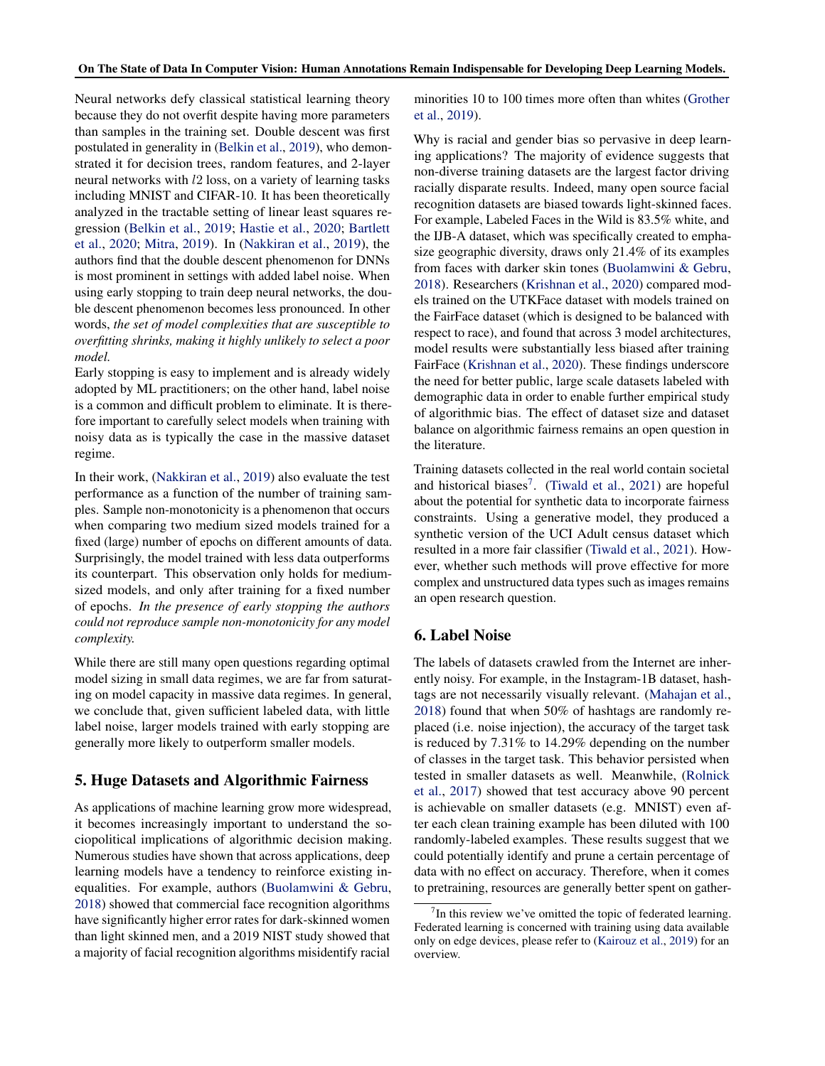Neural networks defy classical statistical learning theory because they do not overfit despite having more parameters than samples in the training set. Double descent was first postulated in generality in [\(Belkin et al.,](#page-7-0) [2019\)](#page-7-0), who demonstrated it for decision trees, random features, and 2-layer neural networks with l2 loss, on a variety of learning tasks including MNIST and CIFAR-10. It has been theoretically analyzed in the tractable setting of linear least squares regression [\(Belkin et al.,](#page-7-0) [2019;](#page-7-0) [Hastie et al.,](#page-9-0) [2020;](#page-9-0) [Bartlett](#page-7-0) [et al.,](#page-7-0) [2020;](#page-7-0) [Mitra,](#page-10-0) [2019\)](#page-10-0). In [\(Nakkiran et al.,](#page-10-0) [2019\)](#page-10-0), the authors find that the double descent phenomenon for DNNs is most prominent in settings with added label noise. When using early stopping to train deep neural networks, the double descent phenomenon becomes less pronounced. In other words, *the set of model complexities that are susceptible to overfitting shrinks, making it highly unlikely to select a poor model.*

Early stopping is easy to implement and is already widely adopted by ML practitioners; on the other hand, label noise is a common and difficult problem to eliminate. It is therefore important to carefully select models when training with noisy data as is typically the case in the massive dataset regime.

In their work, [\(Nakkiran et al.,](#page-10-0) [2019\)](#page-10-0) also evaluate the test performance as a function of the number of training samples. Sample non-monotonicity is a phenomenon that occurs when comparing two medium sized models trained for a fixed (large) number of epochs on different amounts of data. Surprisingly, the model trained with less data outperforms its counterpart. This observation only holds for mediumsized models, and only after training for a fixed number of epochs. *In the presence of early stopping the authors could not reproduce sample non-monotonicity for any model complexity.*

While there are still many open questions regarding optimal model sizing in small data regimes, we are far from saturating on model capacity in massive data regimes. In general, we conclude that, given sufficient labeled data, with little label noise, larger models trained with early stopping are generally more likely to outperform smaller models.

# 5. Huge Datasets and Algorithmic Fairness

As applications of machine learning grow more widespread, it becomes increasingly important to understand the sociopolitical implications of algorithmic decision making. Numerous studies have shown that across applications, deep learning models have a tendency to reinforce existing inequalities. For example, authors [\(Buolamwini & Gebru,](#page-7-0) [2018\)](#page-7-0) showed that commercial face recognition algorithms have significantly higher error rates for dark-skinned women than light skinned men, and a 2019 NIST study showed that a majority of facial recognition algorithms misidentify racial

minorities 10 to 100 times more often than whites [\(Grother](#page-8-0) [et al.,](#page-8-0) [2019\)](#page-8-0).

Why is racial and gender bias so pervasive in deep learning applications? The majority of evidence suggests that non-diverse training datasets are the largest factor driving racially disparate results. Indeed, many open source facial recognition datasets are biased towards light-skinned faces. For example, Labeled Faces in the Wild is 83.5% white, and the IJB-A dataset, which was specifically created to emphasize geographic diversity, draws only 21.4% of its examples from faces with darker skin tones [\(Buolamwini & Gebru,](#page-7-0) [2018\)](#page-7-0). Researchers [\(Krishnan et al.,](#page-9-0) [2020\)](#page-9-0) compared models trained on the UTKFace dataset with models trained on the FairFace dataset (which is designed to be balanced with respect to race), and found that across 3 model architectures, model results were substantially less biased after training FairFace [\(Krishnan et al.,](#page-9-0) [2020\)](#page-9-0). These findings underscore the need for better public, large scale datasets labeled with demographic data in order to enable further empirical study of algorithmic bias. The effect of dataset size and dataset balance on algorithmic fairness remains an open question in the literature.

Training datasets collected in the real world contain societal and historical biases<sup>7</sup>. [\(Tiwald et al.,](#page-11-0) [2021\)](#page-11-0) are hopeful about the potential for synthetic data to incorporate fairness constraints. Using a generative model, they produced a synthetic version of the UCI Adult census dataset which resulted in a more fair classifier [\(Tiwald et al.,](#page-11-0) [2021\)](#page-11-0). However, whether such methods will prove effective for more complex and unstructured data types such as images remains an open research question.

## 6. Label Noise

The labels of datasets crawled from the Internet are inherently noisy. For example, in the Instagram-1B dataset, hashtags are not necessarily visually relevant. [\(Mahajan et al.,](#page-10-0) [2018\)](#page-10-0) found that when 50% of hashtags are randomly replaced (i.e. noise injection), the accuracy of the target task is reduced by 7.31% to 14.29% depending on the number of classes in the target task. This behavior persisted when tested in smaller datasets as well. Meanwhile, [\(Rolnick](#page-11-0) [et al.,](#page-11-0) [2017\)](#page-11-0) showed that test accuracy above 90 percent is achievable on smaller datasets (e.g. MNIST) even after each clean training example has been diluted with 100 randomly-labeled examples. These results suggest that we could potentially identify and prune a certain percentage of data with no effect on accuracy. Therefore, when it comes to pretraining, resources are generally better spent on gather-

 $7$ In this review we've omitted the topic of federated learning. Federated learning is concerned with training using data available only on edge devices, please refer to [\(Kairouz et al.,](#page-9-0) [2019\)](#page-9-0) for an overview.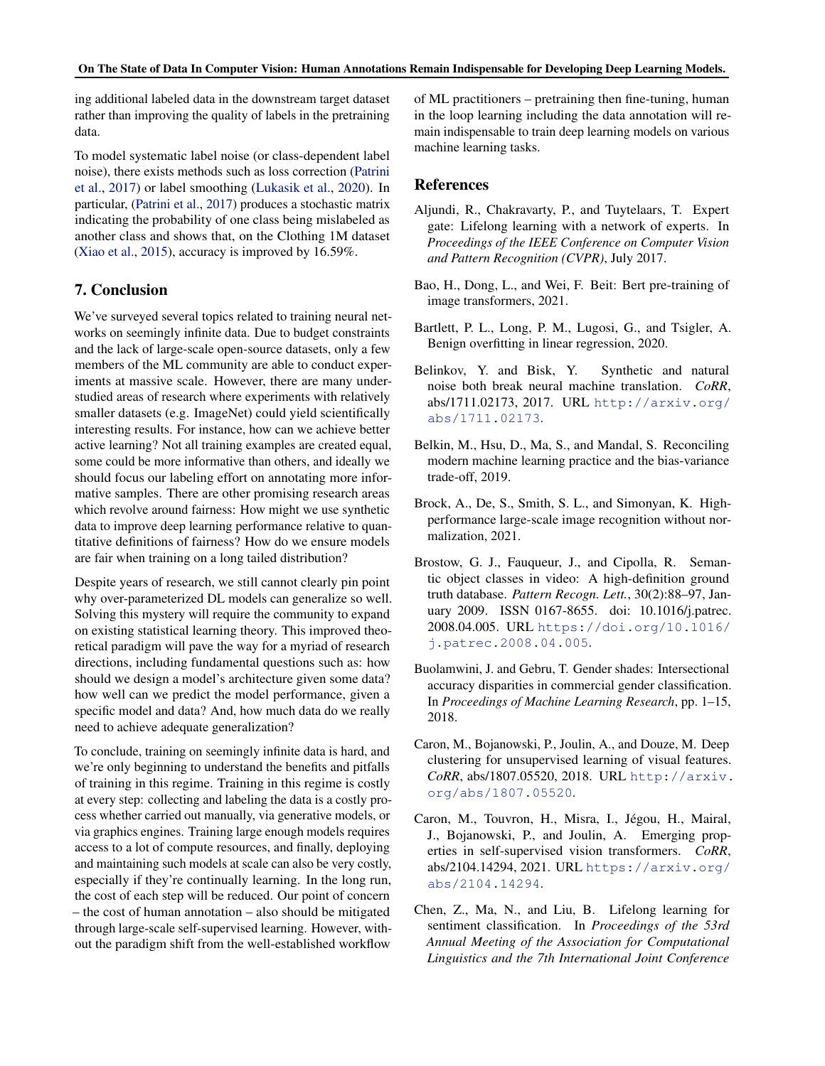<span id="page-7-0"></span>ing additional labeled data in the downstream target dataset rather than improving the quality of labels in the pretraining data.

To model systematic label noise (or class-dependent label noise), there exists methods such as loss correction [\(Patrini](#page-10-0) [et al.,](#page-10-0) [2017\)](#page-10-0) or label smoothing [\(Lukasik et al.,](#page-10-0) [2020\)](#page-10-0). In particular, [\(Patrini et al.,](#page-10-0) [2017\)](#page-10-0) produces a stochastic matrix indicating the probability of one class being mislabeled as another class and shows that, on the Clothing 1M dataset [\(Xiao et al.,](#page-11-0) [2015\)](#page-11-0), accuracy is improved by 16.59%.

# 7. Conclusion

We've surveyed several topics related to training neural networks on seemingly infinite data. Due to budget constraints and the lack of large-scale open-source datasets, only a few members of the ML community are able to conduct experiments at massive scale. However, there are many understudied areas of research where experiments with relatively smaller datasets (e.g. ImageNet) could yield scientifically interesting results. For instance, how can we achieve better active learning? Not all training examples are created equal, some could be more informative than others, and ideally we should focus our labeling effort on annotating more informative samples. There are other promising research areas which revolve around fairness: How might we use synthetic data to improve deep learning performance relative to quantitative definitions of fairness? How do we ensure models are fair when training on a long tailed distribution?

Despite years of research, we still cannot clearly pin point why over-parameterized DL models can generalize so well. Solving this mystery will require the community to expand on existing statistical learning theory. This improved theoretical paradigm will pave the way for a myriad of research directions, including fundamental questions such as: how should we design a model's architecture given some data? how well can we predict the model performance, given a specific model and data? And, how much data do we really need to achieve adequate generalization?

To conclude, training on seemingly infinite data is hard, and we're only beginning to understand the benefits and pitfalls of training in this regime. Training in this regime is costly at every step: collecting and labeling the data is a costly process whether carried out manually, via generative models, or via graphics engines. Training large enough models requires access to a lot of compute resources, and finally, deploying and maintaining such models at scale can also be very costly, especially if they're continually learning. In the long run, the cost of each step will be reduced. Our point of concern – the cost of human annotation – also should be mitigated through large-scale self-supervised learning. However, without the paradigm shift from the well-established workflow

of ML practitioners – pretraining then fine-tuning, human in the loop learning including the data annotation will remain indispensable to train deep learning models on various machine learning tasks.

## References

- Aljundi, R., Chakravarty, P., and Tuytelaars, T. Expert gate: Lifelong learning with a network of experts. In *Proceedings of the IEEE Conference on Computer Vision and Pattern Recognition (CVPR)*, July 2017.
- Bao, H., Dong, L., and Wei, F. Beit: Bert pre-training of image transformers, 2021.
- Bartlett, P. L., Long, P. M., Lugosi, G., and Tsigler, A. Benign overfitting in linear regression, 2020.
- Belinkov, Y. and Bisk, Y. Synthetic and natural noise both break neural machine translation. *CoRR*, abs/1711.02173, 2017. URL [http://arxiv.org/](http://arxiv.org/abs/1711.02173) [abs/1711.02173](http://arxiv.org/abs/1711.02173).
- Belkin, M., Hsu, D., Ma, S., and Mandal, S. Reconciling modern machine learning practice and the bias-variance trade-off, 2019.
- Brock, A., De, S., Smith, S. L., and Simonyan, K. Highperformance large-scale image recognition without normalization, 2021.
- Brostow, G. J., Fauqueur, J., and Cipolla, R. Semantic object classes in video: A high-definition ground truth database. *Pattern Recogn. Lett.*, 30(2):88–97, January 2009. ISSN 0167-8655. doi: 10.1016/j.patrec. 2008.04.005. URL [https://doi.org/10.1016/](https://doi.org/10.1016/j.patrec.2008.04.005) [j.patrec.2008.04.005](https://doi.org/10.1016/j.patrec.2008.04.005).
- Buolamwini, J. and Gebru, T. Gender shades: Intersectional accuracy disparities in commercial gender classification. In *Proceedings of Machine Learning Research*, pp. 1–15, 2018.
- Caron, M., Bojanowski, P., Joulin, A., and Douze, M. Deep clustering for unsupervised learning of visual features. *CoRR*, abs/1807.05520, 2018. URL [http://arxiv.](http://arxiv.org/abs/1807.05520) [org/abs/1807.05520](http://arxiv.org/abs/1807.05520).
- Caron, M., Touvron, H., Misra, I., Jégou, H., Mairal, J., Bojanowski, P., and Joulin, A. Emerging properties in self-supervised vision transformers. *CoRR*, abs/2104.14294, 2021. URL [https://arxiv.org/](https://arxiv.org/abs/2104.14294) [abs/2104.14294](https://arxiv.org/abs/2104.14294).
- Chen, Z., Ma, N., and Liu, B. Lifelong learning for sentiment classification. In *Proceedings of the 53rd Annual Meeting of the Association for Computational Linguistics and the 7th International Joint Conference*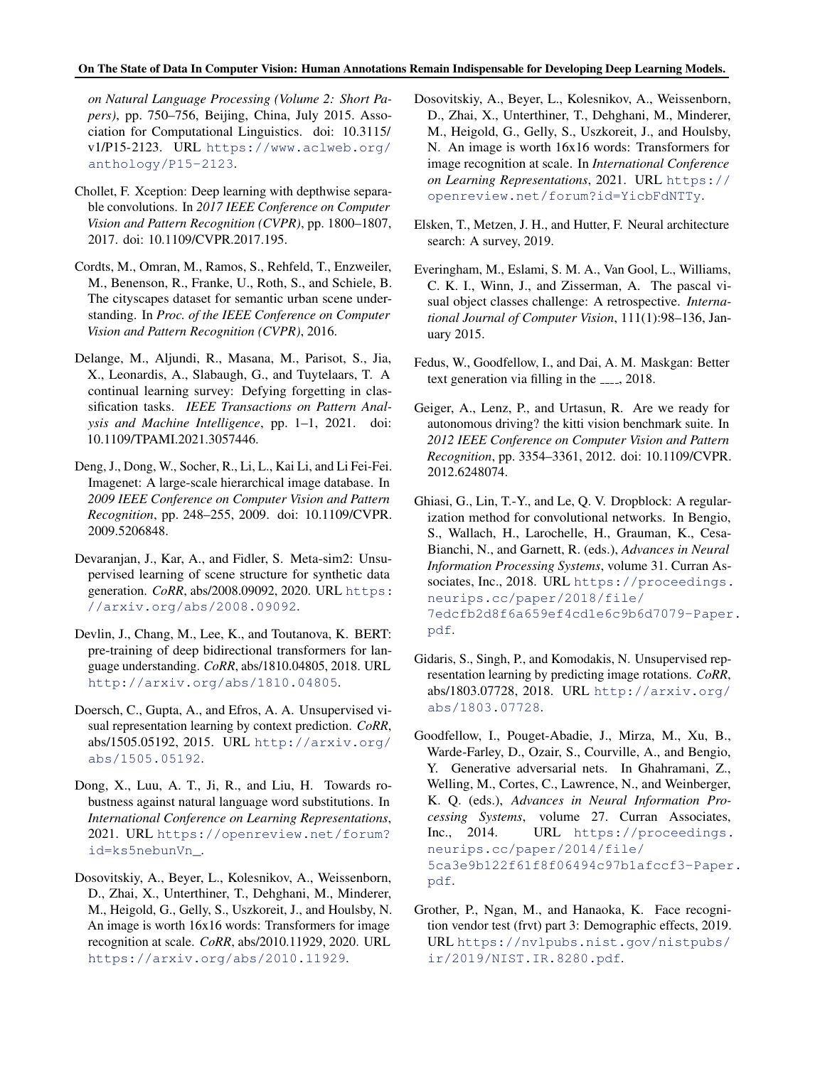<span id="page-8-0"></span>*on Natural Language Processing (Volume 2: Short Papers)*, pp. 750–756, Beijing, China, July 2015. Association for Computational Linguistics. doi: 10.3115/ v1/P15-2123. URL [https://www.aclweb.org/](https://www.aclweb.org/anthology/P15-2123) [anthology/P15-2123](https://www.aclweb.org/anthology/P15-2123).

- Chollet, F. Xception: Deep learning with depthwise separable convolutions. In *2017 IEEE Conference on Computer Vision and Pattern Recognition (CVPR)*, pp. 1800–1807, 2017. doi: 10.1109/CVPR.2017.195.
- Cordts, M., Omran, M., Ramos, S., Rehfeld, T., Enzweiler, M., Benenson, R., Franke, U., Roth, S., and Schiele, B. The cityscapes dataset for semantic urban scene understanding. In *Proc. of the IEEE Conference on Computer Vision and Pattern Recognition (CVPR)*, 2016.
- Delange, M., Aljundi, R., Masana, M., Parisot, S., Jia, X., Leonardis, A., Slabaugh, G., and Tuytelaars, T. A continual learning survey: Defying forgetting in classification tasks. *IEEE Transactions on Pattern Analysis and Machine Intelligence*, pp. 1–1, 2021. doi: 10.1109/TPAMI.2021.3057446.
- Deng, J., Dong, W., Socher, R., Li, L., Kai Li, and Li Fei-Fei. Imagenet: A large-scale hierarchical image database. In *2009 IEEE Conference on Computer Vision and Pattern Recognition*, pp. 248–255, 2009. doi: 10.1109/CVPR. 2009.5206848.
- Devaranjan, J., Kar, A., and Fidler, S. Meta-sim2: Unsupervised learning of scene structure for synthetic data generation. *CoRR*, abs/2008.09092, 2020. URL [https:](https://arxiv.org/abs/2008.09092) [//arxiv.org/abs/2008.09092](https://arxiv.org/abs/2008.09092).
- Devlin, J., Chang, M., Lee, K., and Toutanova, K. BERT: pre-training of deep bidirectional transformers for language understanding. *CoRR*, abs/1810.04805, 2018. URL <http://arxiv.org/abs/1810.04805>.
- Doersch, C., Gupta, A., and Efros, A. A. Unsupervised visual representation learning by context prediction. *CoRR*, abs/1505.05192, 2015. URL [http://arxiv.org/](http://arxiv.org/abs/1505.05192) [abs/1505.05192](http://arxiv.org/abs/1505.05192).
- Dong, X., Luu, A. T., Ji, R., and Liu, H. Towards robustness against natural language word substitutions. In *International Conference on Learning Representations*, 2021. URL [https://openreview.net/forum?](https://openreview.net/forum?id=ks5nebunVn_) [id=ks5nebunVn\\_](https://openreview.net/forum?id=ks5nebunVn_).
- Dosovitskiy, A., Beyer, L., Kolesnikov, A., Weissenborn, D., Zhai, X., Unterthiner, T., Dehghani, M., Minderer, M., Heigold, G., Gelly, S., Uszkoreit, J., and Houlsby, N. An image is worth 16x16 words: Transformers for image recognition at scale. *CoRR*, abs/2010.11929, 2020. URL <https://arxiv.org/abs/2010.11929>.
- Dosovitskiy, A., Beyer, L., Kolesnikov, A., Weissenborn, D., Zhai, X., Unterthiner, T., Dehghani, M., Minderer, M., Heigold, G., Gelly, S., Uszkoreit, J., and Houlsby, N. An image is worth 16x16 words: Transformers for image recognition at scale. In *International Conference on Learning Representations*, 2021. URL [https://](https://openreview.net/forum?id=YicbFdNTTy) [openreview.net/forum?id=YicbFdNTTy](https://openreview.net/forum?id=YicbFdNTTy).
- Elsken, T., Metzen, J. H., and Hutter, F. Neural architecture search: A survey, 2019.
- Everingham, M., Eslami, S. M. A., Van Gool, L., Williams, C. K. I., Winn, J., and Zisserman, A. The pascal visual object classes challenge: A retrospective. *International Journal of Computer Vision*, 111(1):98–136, January 2015.
- Fedus, W., Goodfellow, I., and Dai, A. M. Maskgan: Better text generation via filling in the  $_{---}$ , 2018.
- Geiger, A., Lenz, P., and Urtasun, R. Are we ready for autonomous driving? the kitti vision benchmark suite. In *2012 IEEE Conference on Computer Vision and Pattern Recognition*, pp. 3354–3361, 2012. doi: 10.1109/CVPR. 2012.6248074.
- Ghiasi, G., Lin, T.-Y., and Le, Q. V. Dropblock: A regularization method for convolutional networks. In Bengio, S., Wallach, H., Larochelle, H., Grauman, K., Cesa-Bianchi, N., and Garnett, R. (eds.), *Advances in Neural Information Processing Systems*, volume 31. Curran Associates, Inc., 2018. URL [https://proceedings.](https://proceedings.neurips.cc/paper/2018/file/7edcfb2d8f6a659ef4cd1e6c9b6d7079-Paper.pdf) [neurips.cc/paper/2018/file/](https://proceedings.neurips.cc/paper/2018/file/7edcfb2d8f6a659ef4cd1e6c9b6d7079-Paper.pdf) [7edcfb2d8f6a659ef4cd1e6c9b6d7079-Paper](https://proceedings.neurips.cc/paper/2018/file/7edcfb2d8f6a659ef4cd1e6c9b6d7079-Paper.pdf). [pdf](https://proceedings.neurips.cc/paper/2018/file/7edcfb2d8f6a659ef4cd1e6c9b6d7079-Paper.pdf).
- Gidaris, S., Singh, P., and Komodakis, N. Unsupervised representation learning by predicting image rotations. *CoRR*, abs/1803.07728, 2018. URL [http://arxiv.org/](http://arxiv.org/abs/1803.07728) [abs/1803.07728](http://arxiv.org/abs/1803.07728).
- Goodfellow, I., Pouget-Abadie, J., Mirza, M., Xu, B., Warde-Farley, D., Ozair, S., Courville, A., and Bengio, Y. Generative adversarial nets. In Ghahramani, Z., Welling, M., Cortes, C., Lawrence, N., and Weinberger, K. Q. (eds.), *Advances in Neural Information Processing Systems*, volume 27. Curran Associates, Inc., 2014. URL [https://proceedings.](https://proceedings.neurips.cc/paper/2014/file/5ca3e9b122f61f8f06494c97b1afccf3-Paper.pdf) [neurips.cc/paper/2014/file/](https://proceedings.neurips.cc/paper/2014/file/5ca3e9b122f61f8f06494c97b1afccf3-Paper.pdf) [5ca3e9b122f61f8f06494c97b1afccf3-Paper](https://proceedings.neurips.cc/paper/2014/file/5ca3e9b122f61f8f06494c97b1afccf3-Paper.pdf). [pdf](https://proceedings.neurips.cc/paper/2014/file/5ca3e9b122f61f8f06494c97b1afccf3-Paper.pdf).
- Grother, P., Ngan, M., and Hanaoka, K. Face recognition vendor test (frvt) part 3: Demographic effects, 2019. URL [https://nvlpubs.nist.gov/nistpubs/](https://nvlpubs.nist.gov/nistpubs/ir/2019/NIST.IR.8280.pdf) [ir/2019/NIST.IR.8280.pdf](https://nvlpubs.nist.gov/nistpubs/ir/2019/NIST.IR.8280.pdf).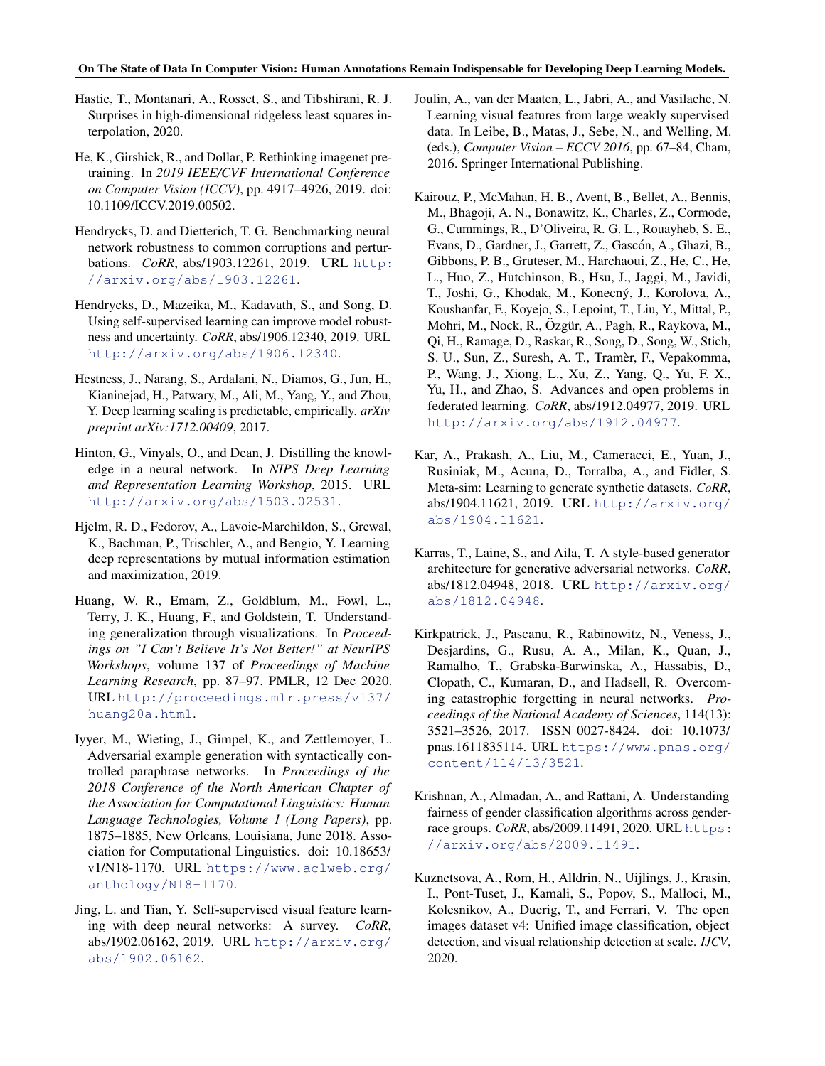- <span id="page-9-0"></span>Hastie, T., Montanari, A., Rosset, S., and Tibshirani, R. J. Surprises in high-dimensional ridgeless least squares interpolation, 2020.
- He, K., Girshick, R., and Dollar, P. Rethinking imagenet pretraining. In *2019 IEEE/CVF International Conference on Computer Vision (ICCV)*, pp. 4917–4926, 2019. doi: 10.1109/ICCV.2019.00502.
- Hendrycks, D. and Dietterich, T. G. Benchmarking neural network robustness to common corruptions and perturbations. *CoRR*, abs/1903.12261, 2019. URL [http:](http://arxiv.org/abs/1903.12261) [//arxiv.org/abs/1903.12261](http://arxiv.org/abs/1903.12261).
- Hendrycks, D., Mazeika, M., Kadavath, S., and Song, D. Using self-supervised learning can improve model robustness and uncertainty. *CoRR*, abs/1906.12340, 2019. URL <http://arxiv.org/abs/1906.12340>.
- Hestness, J., Narang, S., Ardalani, N., Diamos, G., Jun, H., Kianinejad, H., Patwary, M., Ali, M., Yang, Y., and Zhou, Y. Deep learning scaling is predictable, empirically. *arXiv preprint arXiv:1712.00409*, 2017.
- Hinton, G., Vinyals, O., and Dean, J. Distilling the knowledge in a neural network. In *NIPS Deep Learning and Representation Learning Workshop*, 2015. URL <http://arxiv.org/abs/1503.02531>.
- Hjelm, R. D., Fedorov, A., Lavoie-Marchildon, S., Grewal, K., Bachman, P., Trischler, A., and Bengio, Y. Learning deep representations by mutual information estimation and maximization, 2019.
- Huang, W. R., Emam, Z., Goldblum, M., Fowl, L., Terry, J. K., Huang, F., and Goldstein, T. Understanding generalization through visualizations. In *Proceedings on "I Can't Believe It's Not Better!" at NeurIPS Workshops*, volume 137 of *Proceedings of Machine Learning Research*, pp. 87–97. PMLR, 12 Dec 2020. URL [http://proceedings.mlr.press/v137/](http://proceedings.mlr.press/v137/huang20a.html) [huang20a.html](http://proceedings.mlr.press/v137/huang20a.html).
- Iyyer, M., Wieting, J., Gimpel, K., and Zettlemoyer, L. Adversarial example generation with syntactically controlled paraphrase networks. In *Proceedings of the 2018 Conference of the North American Chapter of the Association for Computational Linguistics: Human Language Technologies, Volume 1 (Long Papers)*, pp. 1875–1885, New Orleans, Louisiana, June 2018. Association for Computational Linguistics. doi: 10.18653/ v1/N18-1170. URL [https://www.aclweb.org/](https://www.aclweb.org/anthology/N18-1170) [anthology/N18-1170](https://www.aclweb.org/anthology/N18-1170).
- Jing, L. and Tian, Y. Self-supervised visual feature learning with deep neural networks: A survey. *CoRR*, abs/1902.06162, 2019. URL [http://arxiv.org/](http://arxiv.org/abs/1902.06162) [abs/1902.06162](http://arxiv.org/abs/1902.06162).
- Joulin, A., van der Maaten, L., Jabri, A., and Vasilache, N. Learning visual features from large weakly supervised data. In Leibe, B., Matas, J., Sebe, N., and Welling, M. (eds.), *Computer Vision – ECCV 2016*, pp. 67–84, Cham, 2016. Springer International Publishing.
- Kairouz, P., McMahan, H. B., Avent, B., Bellet, A., Bennis, M., Bhagoji, A. N., Bonawitz, K., Charles, Z., Cormode, G., Cummings, R., D'Oliveira, R. G. L., Rouayheb, S. E., Evans, D., Gardner, J., Garrett, Z., Gascón, A., Ghazi, B., Gibbons, P. B., Gruteser, M., Harchaoui, Z., He, C., He, L., Huo, Z., Hutchinson, B., Hsu, J., Jaggi, M., Javidi, T., Joshi, G., Khodak, M., Konecný, J., Korolova, A., Koushanfar, F., Koyejo, S., Lepoint, T., Liu, Y., Mittal, P., Mohri, M., Nock, R., Özgür, A., Pagh, R., Raykova, M., Qi, H., Ramage, D., Raskar, R., Song, D., Song, W., Stich, S. U., Sun, Z., Suresh, A. T., Tramèr, F., Vepakomma, P., Wang, J., Xiong, L., Xu, Z., Yang, Q., Yu, F. X., Yu, H., and Zhao, S. Advances and open problems in federated learning. *CoRR*, abs/1912.04977, 2019. URL <http://arxiv.org/abs/1912.04977>.
- Kar, A., Prakash, A., Liu, M., Cameracci, E., Yuan, J., Rusiniak, M., Acuna, D., Torralba, A., and Fidler, S. Meta-sim: Learning to generate synthetic datasets. *CoRR*, abs/1904.11621, 2019. URL [http://arxiv.org/](http://arxiv.org/abs/1904.11621) [abs/1904.11621](http://arxiv.org/abs/1904.11621).
- Karras, T., Laine, S., and Aila, T. A style-based generator architecture for generative adversarial networks. *CoRR*, abs/1812.04948, 2018. URL [http://arxiv.org/](http://arxiv.org/abs/1812.04948) [abs/1812.04948](http://arxiv.org/abs/1812.04948).
- Kirkpatrick, J., Pascanu, R., Rabinowitz, N., Veness, J., Desjardins, G., Rusu, A. A., Milan, K., Quan, J., Ramalho, T., Grabska-Barwinska, A., Hassabis, D., Clopath, C., Kumaran, D., and Hadsell, R. Overcoming catastrophic forgetting in neural networks. *Proceedings of the National Academy of Sciences*, 114(13): 3521–3526, 2017. ISSN 0027-8424. doi: 10.1073/ pnas.1611835114. URL [https://www.pnas.org/](https://www.pnas.org/content/114/13/3521) [content/114/13/3521](https://www.pnas.org/content/114/13/3521).
- Krishnan, A., Almadan, A., and Rattani, A. Understanding fairness of gender classification algorithms across genderrace groups. *CoRR*, abs/2009.11491, 2020. URL [https:](https://arxiv.org/abs/2009.11491) [//arxiv.org/abs/2009.11491](https://arxiv.org/abs/2009.11491).
- Kuznetsova, A., Rom, H., Alldrin, N., Uijlings, J., Krasin, I., Pont-Tuset, J., Kamali, S., Popov, S., Malloci, M., Kolesnikov, A., Duerig, T., and Ferrari, V. The open images dataset v4: Unified image classification, object detection, and visual relationship detection at scale. *IJCV*, 2020.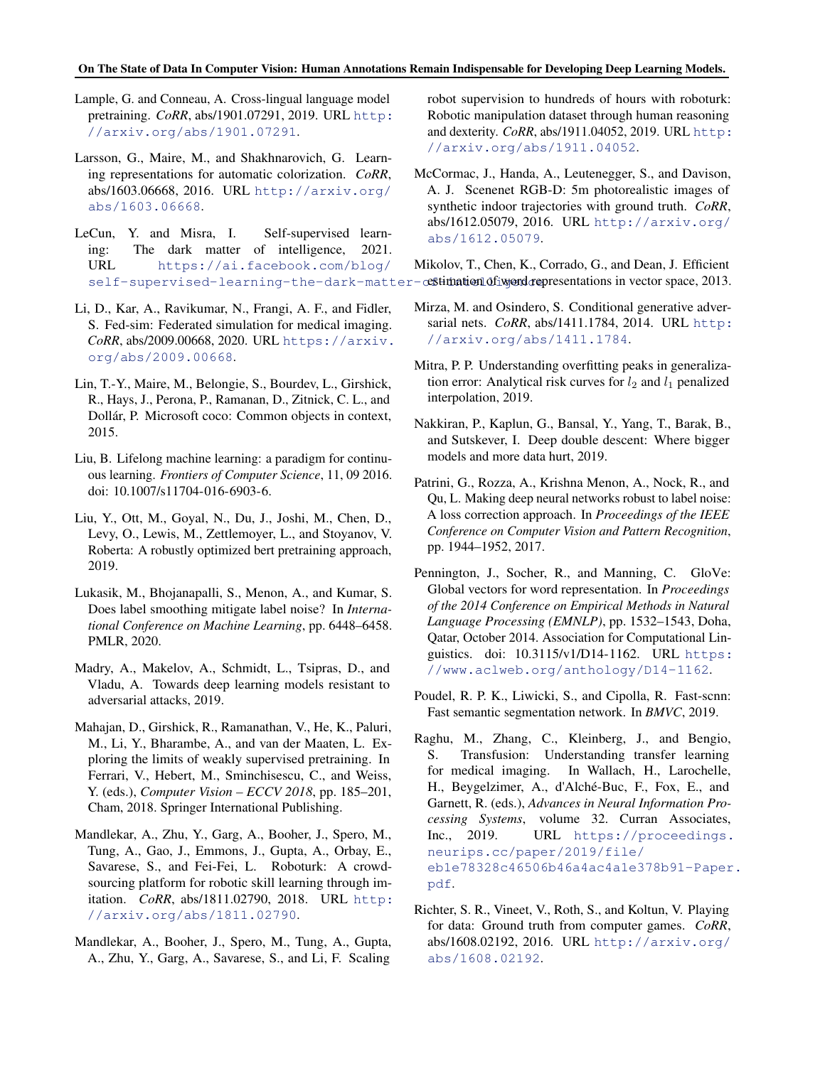<span id="page-10-0"></span>Lample, G. and Conneau, A. Cross-lingual language model pretraining. *CoRR*, abs/1901.07291, 2019. URL [http:](http://arxiv.org/abs/1901.07291) [//arxiv.org/abs/1901.07291](http://arxiv.org/abs/1901.07291).

- Larsson, G., Maire, M., and Shakhnarovich, G. Learning representations for automatic colorization. *CoRR*, abs/1603.06668, 2016. URL [http://arxiv.org/](http://arxiv.org/abs/1603.06668) [abs/1603.06668](http://arxiv.org/abs/1603.06668).
- LeCun, Y. and Misra, I. Self-supervised learning: The dark matter of intelligence, 2021. URL [https://ai.facebook.com/blog/](https://ai.facebook.com/blog/self-supervised-learning-the-dark-matter-of-intelligence) self-supervised-learning-the-dark-matter-cestimation of word representations in vector space, 2013.
- Li, D., Kar, A., Ravikumar, N., Frangi, A. F., and Fidler, S. Fed-sim: Federated simulation for medical imaging. *CoRR*, abs/2009.00668, 2020. URL [https://arxiv.](https://arxiv.org/abs/2009.00668) [org/abs/2009.00668](https://arxiv.org/abs/2009.00668).
- Lin, T.-Y., Maire, M., Belongie, S., Bourdev, L., Girshick, R., Hays, J., Perona, P., Ramanan, D., Zitnick, C. L., and Dollár, P. Microsoft coco: Common objects in context, 2015.
- Liu, B. Lifelong machine learning: a paradigm for continuous learning. *Frontiers of Computer Science*, 11, 09 2016. doi: 10.1007/s11704-016-6903-6.
- Liu, Y., Ott, M., Goyal, N., Du, J., Joshi, M., Chen, D., Levy, O., Lewis, M., Zettlemoyer, L., and Stoyanov, V. Roberta: A robustly optimized bert pretraining approach, 2019.
- Lukasik, M., Bhojanapalli, S., Menon, A., and Kumar, S. Does label smoothing mitigate label noise? In *International Conference on Machine Learning*, pp. 6448–6458. PMLR, 2020.
- Madry, A., Makelov, A., Schmidt, L., Tsipras, D., and Vladu, A. Towards deep learning models resistant to adversarial attacks, 2019.
- Mahajan, D., Girshick, R., Ramanathan, V., He, K., Paluri, M., Li, Y., Bharambe, A., and van der Maaten, L. Exploring the limits of weakly supervised pretraining. In Ferrari, V., Hebert, M., Sminchisescu, C., and Weiss, Y. (eds.), *Computer Vision – ECCV 2018*, pp. 185–201, Cham, 2018. Springer International Publishing.
- Mandlekar, A., Zhu, Y., Garg, A., Booher, J., Spero, M., Tung, A., Gao, J., Emmons, J., Gupta, A., Orbay, E., Savarese, S., and Fei-Fei, L. Roboturk: A crowdsourcing platform for robotic skill learning through imitation. *CoRR*, abs/1811.02790, 2018. URL [http:](http://arxiv.org/abs/1811.02790) [//arxiv.org/abs/1811.02790](http://arxiv.org/abs/1811.02790).
- Mandlekar, A., Booher, J., Spero, M., Tung, A., Gupta, A., Zhu, Y., Garg, A., Savarese, S., and Li, F. Scaling

robot supervision to hundreds of hours with roboturk: Robotic manipulation dataset through human reasoning and dexterity. *CoRR*, abs/1911.04052, 2019. URL [http:](http://arxiv.org/abs/1911.04052) [//arxiv.org/abs/1911.04052](http://arxiv.org/abs/1911.04052).

- McCormac, J., Handa, A., Leutenegger, S., and Davison, A. J. Scenenet RGB-D: 5m photorealistic images of synthetic indoor trajectories with ground truth. *CoRR*, abs/1612.05079, 2016. URL [http://arxiv.org/](http://arxiv.org/abs/1612.05079) [abs/1612.05079](http://arxiv.org/abs/1612.05079).
- Mikolov, T., Chen, K., Corrado, G., and Dean, J. Efficient
- Mirza, M. and Osindero, S. Conditional generative adversarial nets. *CoRR*, abs/1411.1784, 2014. URL [http:](http://arxiv.org/abs/1411.1784) [//arxiv.org/abs/1411.1784](http://arxiv.org/abs/1411.1784).
- Mitra, P. P. Understanding overfitting peaks in generalization error: Analytical risk curves for  $l_2$  and  $l_1$  penalized interpolation, 2019.
- Nakkiran, P., Kaplun, G., Bansal, Y., Yang, T., Barak, B., and Sutskever, I. Deep double descent: Where bigger models and more data hurt, 2019.
- Patrini, G., Rozza, A., Krishna Menon, A., Nock, R., and Qu, L. Making deep neural networks robust to label noise: A loss correction approach. In *Proceedings of the IEEE Conference on Computer Vision and Pattern Recognition*, pp. 1944–1952, 2017.
- Pennington, J., Socher, R., and Manning, C. GloVe: Global vectors for word representation. In *Proceedings of the 2014 Conference on Empirical Methods in Natural Language Processing (EMNLP)*, pp. 1532–1543, Doha, Qatar, October 2014. Association for Computational Linguistics. doi: 10.3115/v1/D14-1162. URL [https:](https://www.aclweb.org/anthology/D14-1162) [//www.aclweb.org/anthology/D14-1162](https://www.aclweb.org/anthology/D14-1162).
- Poudel, R. P. K., Liwicki, S., and Cipolla, R. Fast-scnn: Fast semantic segmentation network. In *BMVC*, 2019.
- Raghu, M., Zhang, C., Kleinberg, J., and Bengio, S. Transfusion: Understanding transfer learning for medical imaging. In Wallach, H., Larochelle, H., Beygelzimer, A., d'Alché-Buc, F., Fox, E., and Garnett, R. (eds.), *Advances in Neural Information Processing Systems*, volume 32. Curran Associates, Inc., 2019. URL [https://proceedings.](https://proceedings.neurips.cc/paper/2019/file/eb1e78328c46506b46a4ac4a1e378b91-Paper.pdf) [neurips.cc/paper/2019/file/](https://proceedings.neurips.cc/paper/2019/file/eb1e78328c46506b46a4ac4a1e378b91-Paper.pdf) [eb1e78328c46506b46a4ac4a1e378b91-Paper](https://proceedings.neurips.cc/paper/2019/file/eb1e78328c46506b46a4ac4a1e378b91-Paper.pdf). [pdf](https://proceedings.neurips.cc/paper/2019/file/eb1e78328c46506b46a4ac4a1e378b91-Paper.pdf).
- Richter, S. R., Vineet, V., Roth, S., and Koltun, V. Playing for data: Ground truth from computer games. *CoRR*, abs/1608.02192, 2016. URL [http://arxiv.org/](http://arxiv.org/abs/1608.02192) [abs/1608.02192](http://arxiv.org/abs/1608.02192).